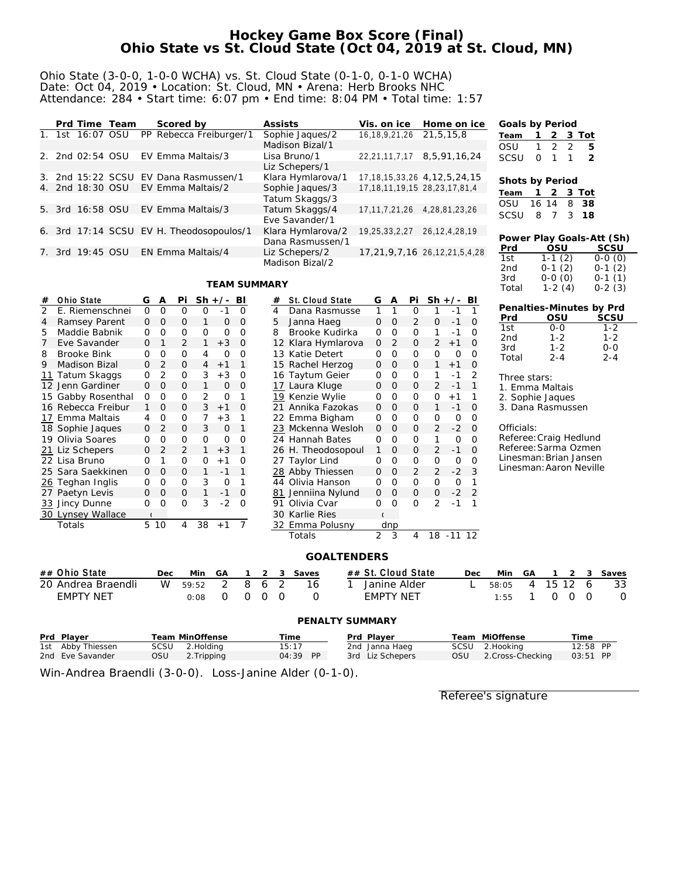## **Hockey Game Box Score (Final) Ohio State vs St. Cloud State (Oct 04, 2019 at St. Cloud, MN)**

### Ohio State (3-0-0, 1-0-0 WCHA) vs. St. Cloud State (0-1-0, 0-1-0 WCHA) Date: Oct 04, 2019 • Location: St. Cloud, MN • Arena: Herb Brooks NHC Attendance: 284 • Start time: 6:07 pm • End time: 8:04 PM • Total time: 1:57

|  |                  | Prd Time Team | Scored by                                | Assists           | Vis. on ice                          | Home on ice                           | Goals by Period |              |                 |               |                           |
|--|------------------|---------------|------------------------------------------|-------------------|--------------------------------------|---------------------------------------|-----------------|--------------|-----------------|---------------|---------------------------|
|  | 1. 1st 16:07 OSU |               | PP Rebecca Freiburger/1                  | Sophie Jaques/2   | 16, 18, 9, 21, 26 21, 5, 15, 8       |                                       | Team            |              | 2 3 Tot         |               |                           |
|  |                  |               |                                          | Madison Bizal/1   |                                      |                                       | OSU             | $\mathbf{1}$ | $\mathcal{P}$   | $\mathcal{D}$ | -5                        |
|  | 2. 2nd 02:54 OSU |               | EV Emma Maltais/3                        | Lisa Bruno/1      | 22,21,11,7,17                        | 8,5,91,16,24                          | SCSU            | $\Omega$     | 1               |               | -2                        |
|  |                  |               |                                          | Liz Schepers/1    |                                      |                                       |                 |              |                 |               |                           |
|  |                  |               | 3. 2nd 15:22 SCSU EV Dana Rasmussen/1    | Klara Hymlarova/1 |                                      | 17, 18, 15, 33, 26 4, 12, 5, 24, 15   | Shots by Period |              |                 |               |                           |
|  | 4. 2nd 18:30 OSU |               | EV Emma Maltais/2                        | Sophie Jaques/3   | 17, 18, 11, 19, 15 28, 23, 17, 81, 4 |                                       | Team            |              | 2               | 3 Tot         |                           |
|  |                  |               |                                          | Tatum Skaggs/3    |                                      |                                       | OSU             | 16 14        |                 | 8             | -38                       |
|  | 5. 3rd 16:58 OSU |               | EV Emma Maltais/3                        | Tatum Skaggs/4    | 17,11,7,21,26 4,28,81,23,26          |                                       |                 |              |                 |               | 18                        |
|  |                  |               |                                          | Eve Savander/1    |                                      |                                       | SCSU            | 8            |                 | 3             |                           |
|  |                  |               | 6. 3rd 17:14 SCSU EV H. Theodosopoulos/1 | Klara Hymlarova/2 | 19,25,33,2,27                        | 26, 12, 4, 28, 19                     |                 |              |                 |               |                           |
|  |                  |               |                                          | Dana Rasmussen/1  |                                      |                                       |                 |              |                 |               | Power Play Goals-Att (Sh) |
|  | 7. 3rd 19:45 OSU |               | EN Emma Maltais/4                        | Liz Schepers/2    |                                      | 17, 21, 9, 7, 16 26, 12, 21, 5, 4, 28 | Prd<br>1st      |              | OSU             |               | SCSU                      |
|  |                  |               |                                          | Madison Bizal/2   |                                      |                                       | 2nd             | $0 - 1$      | $1-1(2)$<br>(2) |               | $0-0(0)$<br>$0-1(2)$      |
|  |                  |               |                                          |                   |                                      |                                       |                 |              |                 |               |                           |

#### **TEAM SUMMARY**

|                                   |                           |                |          |                | <b>TEAM SUMMARY</b> |                |               |                |                    |                    |                |              |                |             |                | 3rd<br>Total           |                         | $0-0(0)$<br>$1-2(4)$ |          |   | $0-1(1)$<br>$0-2(3)$     |
|-----------------------------------|---------------------------|----------------|----------|----------------|---------------------|----------------|---------------|----------------|--------------------|--------------------|----------------|--------------|----------------|-------------|----------------|------------------------|-------------------------|----------------------|----------|---|--------------------------|
| Ohio State<br>#                   | G                         | A              | Pi       |                | $Sh +/-$            | BI             |               | #              | St. Cloud State    | G                  | Α              | Pi           |                | $Sh +/- Bl$ |                |                        |                         |                      |          |   |                          |
| $\overline{2}$<br>E. Riemenschnei | $\mathbf{O}$              | $\mathbf 0$    | 0        | 0              | $-1$                | 0              |               | $\overline{4}$ | Dana Rasmusse      | $\mathbf{1}$       | $\mathbf{1}$   | $\mathbf{O}$ | 1              | $-1$        |                |                        |                         |                      |          |   | Penalties-Minutes by Prd |
| Ramsey Parent<br>4                | $\mathbf{0}$              | 0              | 0        | 1              | 0                   | $\mathbf{0}$   |               | 5              | Janna Haeg         | $\mathbf{O}$       | $\mathbf{O}$   | 2            | $\overline{0}$ | $-1$        | 0              | Prd                    |                         | OSU                  |          |   | SCSU                     |
| Maddie Babnik<br>5                | $\Omega$                  | $\circ$        | 0        | 0              | 0                   | $\Omega$       |               | 8              | Brooke Kudirka     | 0                  | $\mathcal{O}$  | 0            | 1              | $-1$        | $\overline{0}$ | 1st<br>2 <sub>nd</sub> |                         | $0 - 0$<br>$1 - 2$   |          |   | $1 - 2$<br>$1 - 2$       |
| Eve Savander                      | 0                         | $\mathbf 1$    | 2        | 1              | $+3$                | $\mathbf{0}$   |               |                | 12 Klara Hymlarova | 0                  | 2              | 0            | 2              | $+1$        | $\mathbf 0$    | 3rd                    |                         | $1 - 2$              |          |   | $0 - 0$                  |
| <b>Brooke Bink</b><br>8           | $\Omega$                  | O              | $\Omega$ | 4              | $\Omega$            | $\Omega$       |               |                | 13 Katie Detert    | 0                  | $\Omega$       | $\Omega$     | $\Omega$       | $\circ$     | $\Omega$       | Total                  |                         | $2 - 4$              |          |   | $2 - 4$                  |
| <b>Madison Bizal</b><br>9         | 0                         | $\overline{2}$ | 0        | 4              | $+1$                | 1              |               |                | 15 Rachel Herzog   | 0                  | 0              | 0            | $\mathbf{1}$   | $+1$        | $\mathbf 0$    |                        |                         |                      |          |   |                          |
| Tatum Skaggs<br>11                | 0                         | $\overline{2}$ | 0        | 3              | $+3$                | 0              |               |                | 16 Taytum Geier    | 0                  | $\circ$        | 0            | 1              | $-1$        | $\overline{2}$ |                        | Three stars:            |                      |          |   |                          |
| 12 Jenn Gardiner                  | 0                         | $\Omega$       | 0        | 1              | 0                   | 0              |               |                | 17 Laura Kluge     | 0                  | 0              | 0            | 2              | $-1$        | $\mathbf{1}$   |                        | 1. Emma Maltais         |                      |          |   |                          |
| 15 Gabby Rosenthal                | 0                         | $\mathbf 0$    | 0        | $\overline{2}$ | 0                   | 1              |               | 19             | Kenzie Wylie       | 0                  | $\circ$        | 0            | 0              | $+1$        | 1              |                        | 2. Sophie Jaques        |                      |          |   |                          |
| 16 Rebecca Freibur                | 1                         | $\Omega$       | 0        | 3              | $+1$                | $\mathbf{0}$   |               | 21             | Annika Fazokas     | $\Omega$           | 0              | 0            | 1              | $-1$        | $\overline{0}$ |                        | 3. Dana Rasmussen       |                      |          |   |                          |
| 17 Emma Maltais                   | 4                         | $\mathbf 0$    | 0        | 7              | $+3$                | 1              |               |                | 22 Emma Bigham     | 0                  | 0              | 0            | $\mathbf 0$    | 0           | $\mathbf 0$    |                        |                         |                      |          |   |                          |
| 18 Sophie Jaques                  | 0                         | $\overline{2}$ | 0        | 3              | O                   | 1              |               |                | 23 Mckenna Wesloh  | $\mathbf{O}$       | $\Omega$       | 0            | 2              | $-2$        | $\Omega$       | Officials:             |                         |                      |          |   |                          |
| 19 Olivia Soares                  | 0                         | O              | 0        | $\Omega$       | $\Omega$            | $\Omega$       |               |                | 24 Hannah Bates    | 0                  | $\Omega$       | 0            | 1              | O           | $\Omega$       |                        | Referee: Craig Hedlund  |                      |          |   |                          |
| 21 Liz Schepers                   | 0                         | $\overline{2}$ | 2        | $\mathbf{1}$   | $+3$                | $\mathbf{1}$   |               |                | 26 H. Theodosopoul | $\mathbf{1}$       | O              | 0            | 2              | $-1$        | $\overline{0}$ |                        | Referee: Sarma Ozmen    |                      |          |   |                          |
| 22 Lisa Bruno                     | 0                         | 1              | 0        | 0              | $+1$                | $\circ$        |               |                | 27 Taylor Lind     | 0                  | $\mathbf 0$    | 0            | 0              | 0           | 0              |                        | Linesman: Brian Jansen  |                      |          |   |                          |
| 25 Sara Saekkinen                 | 0                         | 0              | 0        | $\mathbf{1}$   | $-1$                | $\mathbf{1}$   |               |                | 28 Abby Thiessen   | $\mathbf{O}$       | $\overline{O}$ | 2            | $\overline{2}$ | $-2$        | 3              |                        | Linesman: Aaron Neville |                      |          |   |                          |
| 26 Teghan Inglis                  | 0                         | O              | 0        | 3              | O                   | 1              |               |                | 44 Olivia Hanson   | $\Omega$           | $\Omega$       | 0            | 0              | $\circ$     | 1              |                        |                         |                      |          |   |                          |
| 27 Paetyn Levis                   | 0                         | $\Omega$       | 0        | $\mathbf{1}$   | $-1$                | $\mathbf 0$    |               | 81             | Jenniina Nylund    | 0                  | 0              | 0            | 0              | $-2$        | $\overline{2}$ |                        |                         |                      |          |   |                          |
| 33 Jincy Dunne                    | 0                         | $\mathbf 0$    | 0        | 3              | $-2$                | $\Omega$       |               | 91             | Olivia Cvar        | 0                  | $\Omega$       | $\Omega$     | 2              | $-1$        | 1              |                        |                         |                      |          |   |                          |
| 30 Lynsey Wallace                 | $\overline{\mathfrak{c}}$ |                |          |                |                     |                |               | 30             | <b>Karlie Ries</b> |                    |                |              |                |             |                |                        |                         |                      |          |   |                          |
| Totals                            |                           | 5 10           | 4        | 38             | $+1$                | $\overline{7}$ |               |                | 32 Emma Polusny    |                    | dnp            |              |                |             |                |                        |                         |                      |          |   |                          |
|                                   |                           |                |          |                |                     |                |               |                | Totals             | $\overline{2}$     | 3              | 4            |                | 18 - 11 12  |                |                        |                         |                      |          |   |                          |
|                                   |                           |                |          |                |                     |                |               |                | <b>GOALTENDERS</b> |                    |                |              |                |             |                |                        |                         |                      |          |   |                          |
| ## Ohio State                     |                           | Dec            |          | Min            | GA                  | 1              | 2             | 3              | Saves              | ## St. Cloud State |                |              |                |             | Dec            | Min                    | GA                      |                      | 2        | 3 | Saves                    |
| 20 Andrea Braendli                |                           | W              |          | 59:52          | 2                   | 8              | 6             | $\overline{2}$ | 16<br>1            | Janine Alder       |                |              |                |             |                | 58:05                  | 4                       | 15                   | 12       | 6 | 33                       |
| <b>EMPTY NET</b>                  |                           |                |          | 0:08           | $\mathbf 0$         | 0              | $\mathcal{O}$ | $\Omega$       | $\circ$            | <b>EMPTY NET</b>   |                |              |                |             |                | 1:55                   | 1                       | 0                    | $\Omega$ | 0 | O                        |
|                                   |                           |                |          |                |                     |                |               |                | PENALTY SUMMARY    |                    |                |              |                |             |                |                        |                         |                      |          |   |                          |

| Prd Plaver        |     | Team MinOffense | Time       |  | Prd Plaver       |     | Team MiOffense   | Time     |  |
|-------------------|-----|-----------------|------------|--|------------------|-----|------------------|----------|--|
| 1st Abby Thiessen |     | SCSU 2.Holding  | 15:17      |  | 2nd Janna Haeg   |     | SCSU 2.Hooking   | 12:58 PP |  |
| 2nd Eve Savander  | OSU | 2. Tripping     | $04:39$ PP |  | 3rd Liz Schepers | OSU | 2.Cross-Checking | 03:51 PP |  |

Win-Andrea Braendli (3-0-0). Loss-Janine Alder (0-1-0).

Referee's signature

1st 1-1 (2) 0-0 (0) 2nd 0-1 (2) 0-1 (2)